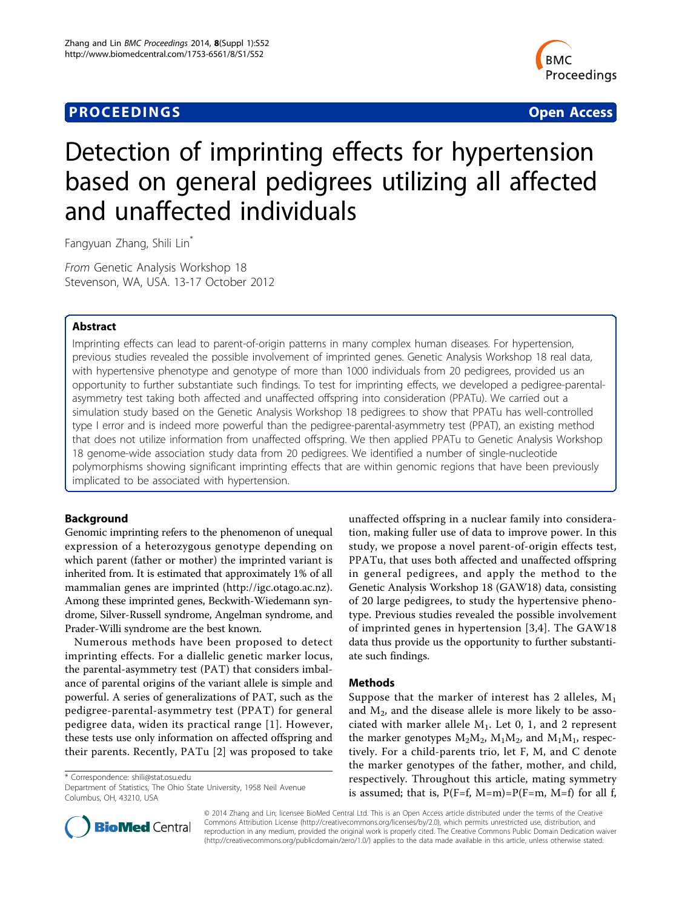## **PROCEEDINGS STATES CONSUMING S** Open Access **CONSUMING S**



# Detection of imprinting effects for hypertension based on general pedigrees utilizing all affected and unaffected individuals

Fangyuan Zhang, Shili Lin\*

From Genetic Analysis Workshop 18 Stevenson, WA, USA. 13-17 October 2012

## Abstract

Imprinting effects can lead to parent-of-origin patterns in many complex human diseases. For hypertension, previous studies revealed the possible involvement of imprinted genes. Genetic Analysis Workshop 18 real data, with hypertensive phenotype and genotype of more than 1000 individuals from 20 pedigrees, provided us an opportunity to further substantiate such findings. To test for imprinting effects, we developed a pedigree-parentalasymmetry test taking both affected and unaffected offspring into consideration (PPATu). We carried out a simulation study based on the Genetic Analysis Workshop 18 pedigrees to show that PPATu has well-controlled type I error and is indeed more powerful than the pedigree-parental-asymmetry test (PPAT), an existing method that does not utilize information from unaffected offspring. We then applied PPATu to Genetic Analysis Workshop 18 genome-wide association study data from 20 pedigrees. We identified a number of single-nucleotide polymorphisms showing significant imprinting effects that are within genomic regions that have been previously implicated to be associated with hypertension.

## Background

Genomic imprinting refers to the phenomenon of unequal expression of a heterozygous genotype depending on which parent (father or mother) the imprinted variant is inherited from. It is estimated that approximately 1% of all mammalian genes are imprinted (<http://igc.otago.ac.nz>). Among these imprinted genes, Beckwith-Wiedemann syndrome, Silver-Russell syndrome, Angelman syndrome, and Prader-Willi syndrome are the best known.

Numerous methods have been proposed to detect imprinting effects. For a diallelic genetic marker locus, the parental-asymmetry test (PAT) that considers imbalance of parental origins of the variant allele is simple and powerful. A series of generalizations of PAT, such as the pedigree-parental-asymmetry test (PPAT) for general pedigree data, widen its practical range [\[1\]](#page-3-0). However, these tests use only information on affected offspring and their parents. Recently, PATu [\[2](#page-3-0)] was proposed to take

\* Correspondence: [shili@stat.osu.edu](mailto:shili@stat.osu.edu)

Department of Statistics, The Ohio State University, 1958 Neil Avenue Columbus, OH, 43210, USA



## Methods

Suppose that the marker of interest has 2 alleles,  $M_1$ and  $M_2$ , and the disease allele is more likely to be associated with marker allele  $M_1$ . Let 0, 1, and 2 represent the marker genotypes  $M_2M_2$ ,  $M_1M_2$ , and  $M_1M_1$ , respectively. For a child-parents trio, let F, M, and C denote the marker genotypes of the father, mother, and child, respectively. Throughout this article, mating symmetry is assumed; that is,  $P(F=f, M=m)=P(F=m, M=f)$  for all f,



© 2014 Zhang and Lin; licensee BioMed Central Ltd. This is an Open Access article distributed under the terms of the Creative Commons Attribution License [\(http://creativecommons.org/licenses/by/2.0](http://creativecommons.org/licenses/by/2.0)), which permits unrestricted use, distribution, and reproduction in any medium, provided the original work is properly cited. The Creative Commons Public Domain Dedication waiver [\(http://creativecommons.org/publicdomain/zero/1.0/](http://creativecommons.org/publicdomain/zero/1.0/)) applies to the data made available in this article, unless otherwise stated.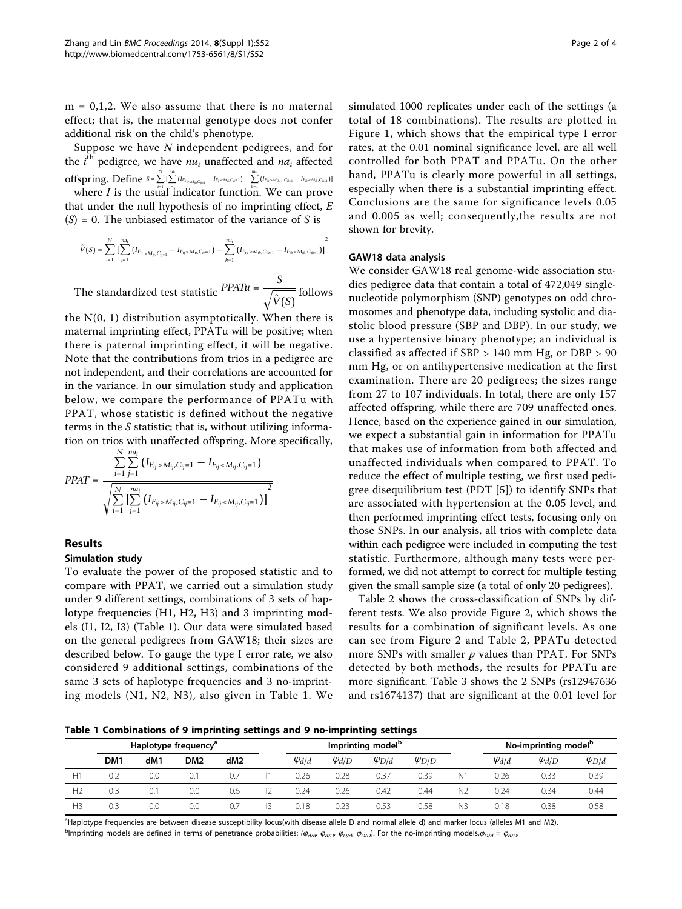<span id="page-1-0"></span> $m = 0,1,2$ . We also assume that there is no maternal effect; that is, the maternal genotype does not confer additional risk on the child's phenotype.

Suppose we have N independent pedigrees, and for the  $i^{\text{th}}$  pedigree, we have  $n u_i$  unaffected and  $n a_i$  affected  $\operatorname{offspring.}$   $\operatorname{Define}$   $s = \sum\limits_{r=1}^{N}\sum\limits_{r=1}^{n a_i} (I_{F_{ij}\rightarrow M_{ij},C_{ij+1}} - I_{F_{ij} < M_{ij},C_{ij} = 1}) - \sum\limits_{r=1}^{m a_i} (I_{F_{ik} > M_{ik-1},C_{ik-1}} - I_{F_{ik} < M_{ik},C_{ik-1}})]$ 

where *I* is the usual indicator function. We can prove that under the null hypothesis of no imprinting effect,  $E$  $(S) = 0$ . The unbiased estimator of the variance of S is

$$
\hat{V}(S) = \sum_{i=1}^N \big[ \sum_{j=1}^{n a_i} \big( I_{F_{ij} > M_{ij}, C_{ij=1}} - I_{F_{ij} < M_{ij}, C_{ij}=1} \big) - \sum_{k=1}^{n u_i} \big( I_{F_{ik} > M_{ik}, C_{ik=1}} - I_{F_{ik} < M_{ik}, C_{ik=1}} \big) \big]^2
$$

The standardized test statistic  $\frac{PPATu}{\sqrt{\hat{V}(S)}}$  follows

the N(0, 1) distribution asymptotically. When there is maternal imprinting effect, PPATu will be positive; when there is paternal imprinting effect, it will be negative. Note that the contributions from trios in a pedigree are not independent, and their correlations are accounted for in the variance. In our simulation study and application below, we compare the performance of PPATu with PPAT, whose statistic is defined without the negative terms in the S statistic; that is, without utilizing information on trios with unaffected offspring. More specifically,

$$
PPAT = \frac{\sum_{i=1}^{N} \sum_{j=1}^{na_i} (I_{F_{ij} > M_{ij}, C_{ij}=1} - I_{F_{ij} < M_{ij}, C_{ij}=1})}{\sqrt{\sum_{i=1}^{N} \sum_{j=1}^{na_i} (I_{F_{ij} > M_{ij}, C_{ij}=1} - I_{F_{ij} < M_{ij}, C_{ij}=1})}]^2}
$$

## Results

## Simulation study

To evaluate the power of the proposed statistic and to compare with PPAT, we carried out a simulation study under 9 different settings, combinations of 3 sets of haplotype frequencies (H1, H2, H3) and 3 imprinting models (I1, I2, I3) (Table 1). Our data were simulated based on the general pedigrees from GAW18; their sizes are described below. To gauge the type I error rate, we also considered 9 additional settings, combinations of the same 3 sets of haplotype frequencies and 3 no-imprinting models (N1, N2, N3), also given in Table 1. We simulated 1000 replicates under each of the settings (a total of 18 combinations). The results are plotted in Figure [1,](#page-2-0) which shows that the empirical type I error rates, at the 0.01 nominal significance level, are all well controlled for both PPAT and PPATu. On the other hand, PPATu is clearly more powerful in all settings, especially when there is a substantial imprinting effect. Conclusions are the same for significance levels 0.05 and 0.005 as well; consequently,the results are not shown for brevity.

## GAW18 data analysis

We consider GAW18 real genome-wide association studies pedigree data that contain a total of 472,049 singlenucleotide polymorphism (SNP) genotypes on odd chromosomes and phenotype data, including systolic and diastolic blood pressure (SBP and DBP). In our study, we use a hypertensive binary phenotype; an individual is classified as affected if SBP > 140 mm Hg, or DBP > 90 mm Hg, or on antihypertensive medication at the first examination. There are 20 pedigrees; the sizes range from 27 to 107 individuals. In total, there are only 157 affected offspring, while there are 709 unaffected ones. Hence, based on the experience gained in our simulation, we expect a substantial gain in information for PPATu that makes use of information from both affected and unaffected individuals when compared to PPAT. To reduce the effect of multiple testing, we first used pedigree disequilibrium test (PDT [\[5](#page-3-0)]) to identify SNPs that are associated with hypertension at the 0.05 level, and then performed imprinting effect tests, focusing only on those SNPs. In our analysis, all trios with complete data within each pedigree were included in computing the test statistic. Furthermore, although many tests were performed, we did not attempt to correct for multiple testing given the small sample size (a total of only 20 pedigrees).

Table [2](#page-2-0) shows the cross-classification of SNPs by different tests. We also provide Figure [2](#page-2-0), which shows the results for a combination of significant levels. As one can see from Figure [2](#page-2-0) and Table [2](#page-2-0), PPATu detected more SNPs with smaller  $p$  values than PPAT. For SNPs detected by both methods, the results for PPATu are more significant. Table [3](#page-3-0) shows the 2 SNPs (rs12947636 and rs1674137) that are significant at the 0.01 level for

Table 1 Combinations of 9 imprinting settings and 9 no-imprinting settings

|                | Haplotype frequency <sup>a</sup> |     |                 |                 | Imprinting model <sup>p</sup> |                 |                 |                 |    | No-imprinting model <sup>b</sup> |                 |                 |
|----------------|----------------------------------|-----|-----------------|-----------------|-------------------------------|-----------------|-----------------|-----------------|----|----------------------------------|-----------------|-----------------|
|                | DM <sub>1</sub>                  | dM1 | DM <sub>2</sub> | dM <sub>2</sub> | $\varphi_{d/d}$               | $\varphi_{d/D}$ | $\varphi_{D/d}$ | $\varphi_{D/D}$ |    | $\varphi_{d/d}$                  | $\varphi_{d/D}$ | $\varphi_{D/d}$ |
| H1             | 0.2                              | 0.0 | 0.1             |                 | 0.26                          | 0.28            | 0.37            | 0.39            | И. | 0.26                             | 0.33            | 0.39            |
| H <sub>2</sub> | 0.3                              | 0.1 | 0.0             | 0.6             | 0.24                          | 0.26            | 0.42            | 0.44            | N2 | 0.24                             | 0.34            | 0.44            |
| H3             | 0.3                              | 0.0 | 0.0             |                 | 0.18                          | 0.23            | 0.53            | 0.58            | N3 | 0.18                             | 0.38            | 0.58            |

a Haplotype frequencies are between disease susceptibility locus(with disease allele D and normal allele d) and marker locus (alleles M1 and M2).  $^{\rm b}$ Imprinting models are defined in terms of penetrance probabilities: ( $\varphi_{d/d}$ ,  $\varphi_{dD}$ ,  $\varphi_{D/d}$ ,  $\varphi_{D/D}$ ). For the no-imprinting models, $\varphi_{D/d}=\varphi_{dD}$ .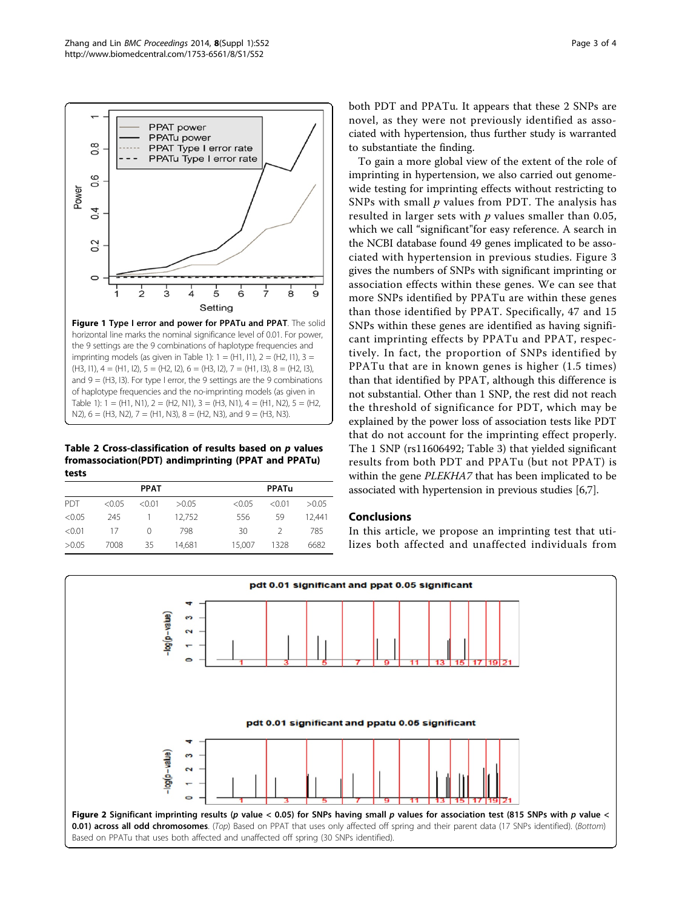<span id="page-2-0"></span>

Table 2 Cross-classification of results based on p values fromassociation(PDT) andimprinting (PPAT and PPATu) tests

|            |        | <b>PPAT</b>      |        |        | <b>PPATu</b>  |        |
|------------|--------|------------------|--------|--------|---------------|--------|
| <b>PDT</b> | < 0.05 | < 0.01           | >0.05  | < 0.05 | < 0.01        | >0.05  |
| < 0.05     | 245    |                  | 12.752 | 556    | 59            | 12.441 |
| < 0.01     | 17     | $\left( \right)$ | 798    | 30     | $\mathcal{L}$ | 785    |
| >0.05      | 7008   | 35               | 14,681 | 15.007 | 1328          | 6682   |

both PDT and PPATu. It appears that these 2 SNPs are novel, as they were not previously identified as associated with hypertension, thus further study is warranted to substantiate the finding.

To gain a more global view of the extent of the role of imprinting in hypertension, we also carried out genomewide testing for imprinting effects without restricting to SNPs with small  $p$  values from PDT. The analysis has resulted in larger sets with  $p$  values smaller than 0.05, which we call "significant"for easy reference. A search in the NCBI database found 49 genes implicated to be associated with hypertension in previous studies. Figure [3](#page-3-0) gives the numbers of SNPs with significant imprinting or association effects within these genes. We can see that more SNPs identified by PPATu are within these genes than those identified by PPAT. Specifically, 47 and 15 SNPs within these genes are identified as having significant imprinting effects by PPATu and PPAT, respectively. In fact, the proportion of SNPs identified by PPATu that are in known genes is higher (1.5 times) than that identified by PPAT, although this difference is not substantial. Other than 1 SNP, the rest did not reach the threshold of significance for PDT, which may be explained by the power loss of association tests like PDT that do not account for the imprinting effect properly. The 1 SNP (rs11606492; Table [3](#page-3-0)) that yielded significant results from both PDT and PPATu (but not PPAT) is within the gene PLEKHA7 that has been implicated to be associated with hypertension in previous studies [\[6,7\]](#page-3-0).

## Conclusions

In this article, we propose an imprinting test that utilizes both affected and unaffected individuals from